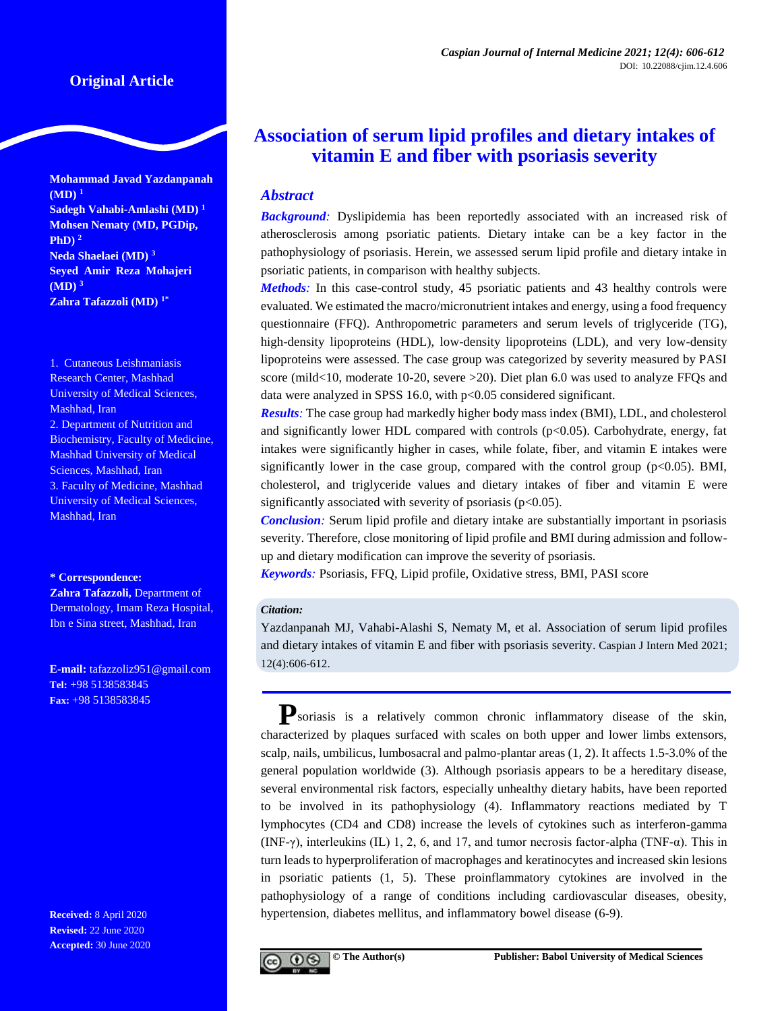# **Original Article**

**Mohammad Javad Yazdanpanah (MD) <sup>1</sup> Sadegh Vahabi-Amlashi (MD) <sup>1</sup> Mohsen Nematy (MD, PGDip, PhD) <sup>2</sup> Neda Shaelaei (MD) <sup>3</sup> Seyed Amir Reza Mohajeri (MD) <sup>3</sup> Zahra Tafazzoli (MD) 1\***

1. Cutaneous Leishmaniasis Research Center, Mashhad University of Medical Sciences, Mashhad, Iran 2. Department of Nutrition and Biochemistry, Faculty of Medicine, Mashhad University of Medical Sciences, Mashhad, Iran 3. Faculty of Medicine, Mashhad University of Medical Sciences, Mashhad, Iran

#### **\* Correspondence:**

**Zahra Tafazzoli,** Department of Dermatology, Imam Reza Hospital, Ibn e Sina street, Mashhad, Iran

**E-mail:** tafazzoliz951@gmail.com **Tel:** +98 5138583845 **Fax:** +98 5138583845

**Received:** 8 April 2020 **Revised:** 22 June 2020 **Accepted:** 30 June 2020

# **Association of serum lipid profiles and dietary intakes of vitamin E and fiber with psoriasis severity**

# *Abstract*

**Background**: Dyslipidemia has been reportedly associated with an increased risk of atherosclerosis among psoriatic patients. Dietary intake can be a key factor in the pathophysiology of psoriasis. Herein, we assessed serum lipid profile and dietary intake in psoriatic patients, in comparison with healthy subjects.

*Methods*: In this case-control study, 45 psoriatic patients and 43 healthy controls were evaluated. We estimated the macro/micronutrient intakes and energy, using a food frequency questionnaire (FFQ). Anthropometric parameters and serum levels of triglyceride (TG), high-density lipoproteins (HDL), low-density lipoproteins (LDL), and very low-density lipoproteins were assessed. The case group was categorized by severity measured by PASI score (mild<10, moderate 10-20, severe >20). Diet plan 6.0 was used to analyze FFQs and data were analyzed in SPSS 16.0, with p<0.05 considered significant.

*Results:* The case group had markedly higher body mass index (BMI), LDL, and cholesterol and significantly lower HDL compared with controls  $(p<0.05)$ . Carbohydrate, energy, fat intakes were significantly higher in cases, while folate, fiber, and vitamin E intakes were significantly lower in the case group, compared with the control group  $(p<0.05)$ . BMI, cholesterol, and triglyceride values and dietary intakes of fiber and vitamin E were significantly associated with severity of psoriasis ( $p<0.05$ ).

*Conclusion:* Serum lipid profile and dietary intake are substantially important in psoriasis severity. Therefore, close monitoring of lipid profile and BMI during admission and followup and dietary modification can improve the severity of psoriasis.

*Keywords:* Psoriasis, FFQ, Lipid profile, Oxidative stress, BMI, PASI score

#### *Citation:*

Yazdanpanah MJ, Vahabi-Alashi S, Nematy M, et al. Association of serum lipid profiles and dietary intakes of vitamin E and fiber with psoriasis severity. Caspian J Intern Med 2021; 12(4):606-612.

**P**soriasis is a relatively common chronic inflammatory disease of the skin, characterized by plaques surfaced with scales on both upper and lower limbs extensors, scalp, nails, umbilicus, lumbosacral and palmo-plantar areas [\(1,](#page-5-0) [2\)](#page-5-1). It affects 1.5-3.0% of the general population worldwide [\(3\)](#page-5-2). Although psoriasis appears to be a hereditary disease, several environmental risk factors, especially unhealthy dietary habits, have been reported to be involved in its pathophysiology [\(4\)](#page-5-3). Inflammatory reactions mediated by T lymphocytes (CD4 and CD8) increase the levels of cytokines such as interferon-gamma (INF-γ), interleukins (IL) 1, 2, 6, and 17, and tumor necrosis factor-alpha (TNF-α). This in turn leads to hyperproliferation of macrophages and keratinocytes and increased skin lesions in psoriatic patients [\(1,](#page-5-0) [5\)](#page-5-4). These proinflammatory cytokines are involved in the pathophysiology of a range of conditions including cardiovascular diseases, obesity, hypertension, diabetes mellitus, and inflammatory bowel disease [\(6-9\)](#page-5-5).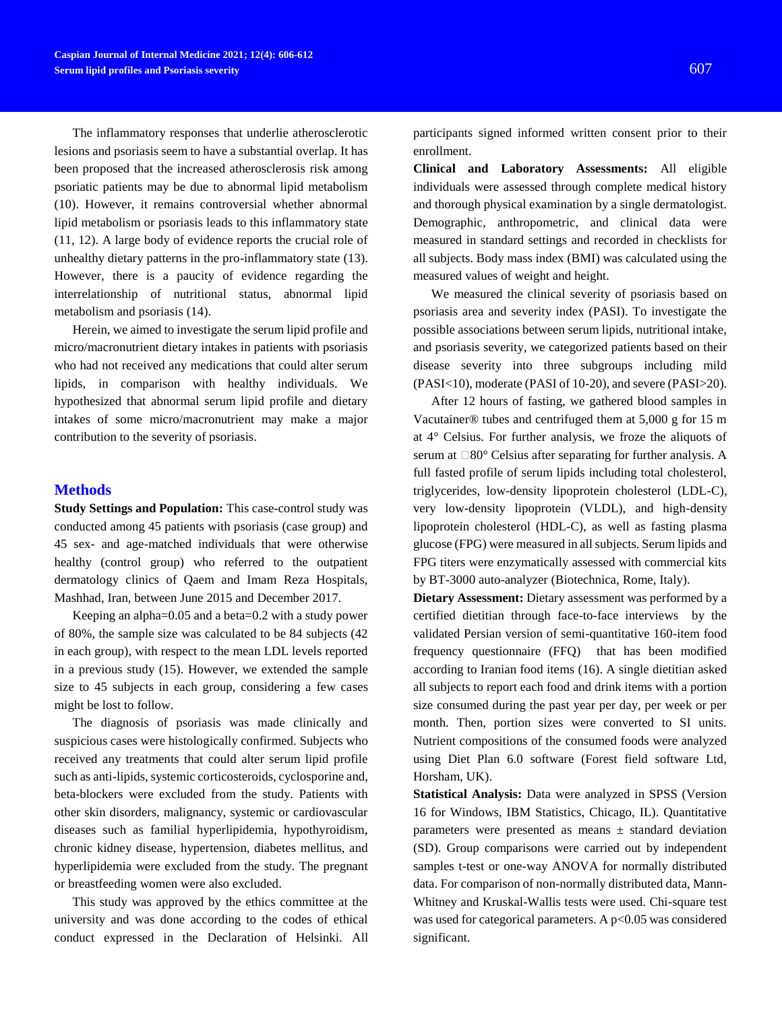The inflammatory responses that underlie atherosclerotic lesions and psoriasis seem to have a substantial overlap. It has been proposed that the increased atherosclerosis risk among psoriatic patients may be due to abnormal lipid metabolism [\(10\)](#page-5-6). However, it remains controversial whether abnormal lipid metabolism or psoriasis leads to this inflammatory state [\(11,](#page-5-7) [12\)](#page-5-8). A large body of evidence reports the crucial role of unhealthy dietary patterns in the pro-inflammatory state [\(13\)](#page-5-9). However, there is a paucity of evidence regarding the interrelationship of nutritional status, abnormal lipid metabolism and psoriasis [\(14\)](#page-5-10).

Herein, we aimed to investigate the serum lipid profile and micro/macronutrient dietary intakes in patients with psoriasis who had not received any medications that could alter serum lipids, in comparison with healthy individuals. We hypothesized that abnormal serum lipid profile and dietary intakes of some micro/macronutrient may make a major contribution to the severity of psoriasis.

### **Methods**

**Study Settings and Population:** This case-control study was conducted among 45 patients with psoriasis (case group) and 45 sex- and age-matched individuals that were otherwise healthy (control group) who referred to the outpatient dermatology clinics of Qaem and Imam Reza Hospitals, Mashhad, Iran, between June 2015 and December 2017.

Keeping an alpha=0.05 and a beta=0.2 with a study power of 80%, the sample size was calculated to be 84 subjects (42 in each group), with respect to the mean LDL levels reported in a previous study [\(15\)](#page-5-11). However, we extended the sample size to 45 subjects in each group, considering a few cases might be lost to follow.

The diagnosis of psoriasis was made clinically and suspicious cases were histologically confirmed. Subjects who received any treatments that could alter serum lipid profile such as anti-lipids, systemic corticosteroids, cyclosporine and, beta-blockers were excluded from the study. Patients with other skin disorders, malignancy, systemic or cardiovascular diseases such as familial hyperlipidemia, hypothyroidism, chronic kidney disease, hypertension, diabetes mellitus, and hyperlipidemia were excluded from the study. The pregnant or breastfeeding women were also excluded.

This study was approved by the ethics committee at the university and was done according to the codes of ethical conduct expressed in the Declaration of Helsinki. All

participants signed informed written consent prior to their enrollment.

**Clinical and Laboratory Assessments:** All eligible individuals were assessed through complete medical history and thorough physical examination by a single dermatologist. Demographic, anthropometric, and clinical data were measured in standard settings and recorded in checklists for all subjects. Body mass index (BMI) was calculated using the measured values of weight and height.

We measured the clinical severity of psoriasis based on psoriasis area and severity index (PASI). To investigate the possible associations between serum lipids, nutritional intake, and psoriasis severity, we categorized patients based on their disease severity into three subgroups including mild (PASI<10), moderate (PASI of 10-20), and severe (PASI>20).

After 12 hours of fasting, we gathered blood samples in Vacutainer® tubes and centrifuged them at 5,000 g for 15 m at 4° Celsius. For further analysis, we froze the aliquots of serum at  $\Box 80^\circ$  Celsius after separating for further analysis. A full fasted profile of serum lipids including total cholesterol, triglycerides, low-density lipoprotein cholesterol (LDL-C), very low-density lipoprotein (VLDL), and high-density lipoprotein cholesterol (HDL-C), as well as fasting plasma glucose (FPG) were measured in all subjects. Serum lipids and FPG titers were enzymatically assessed with commercial kits by BT-3000 auto-analyzer (Biotechnica, Rome, Italy).

**Dietary Assessment:** Dietary assessment was performed by a certified dietitian through face-to-face interviews by the validated Persian version of semi-quantitative 160-item food frequency questionnaire (FFQ) that has been modified according to Iranian food items [\(16\)](#page-5-12). A single dietitian asked all subjects to report each food and drink items with a portion size consumed during the past year per day, per week or per month. Then, portion sizes were converted to SI units. Nutrient compositions of the consumed foods were analyzed using Diet Plan 6.0 software (Forest field software Ltd, Horsham, UK).

**Statistical Analysis:** Data were analyzed in SPSS (Version 16 for Windows, IBM Statistics, Chicago, IL). Quantitative parameters were presented as means  $\pm$  standard deviation (SD). Group comparisons were carried out by independent samples t-test or one-way ANOVA for normally distributed data. For comparison of non-normally distributed data, Mann-Whitney and Kruskal-Wallis tests were used. Chi-square test was used for categorical parameters. A  $p<0.05$  was considered significant.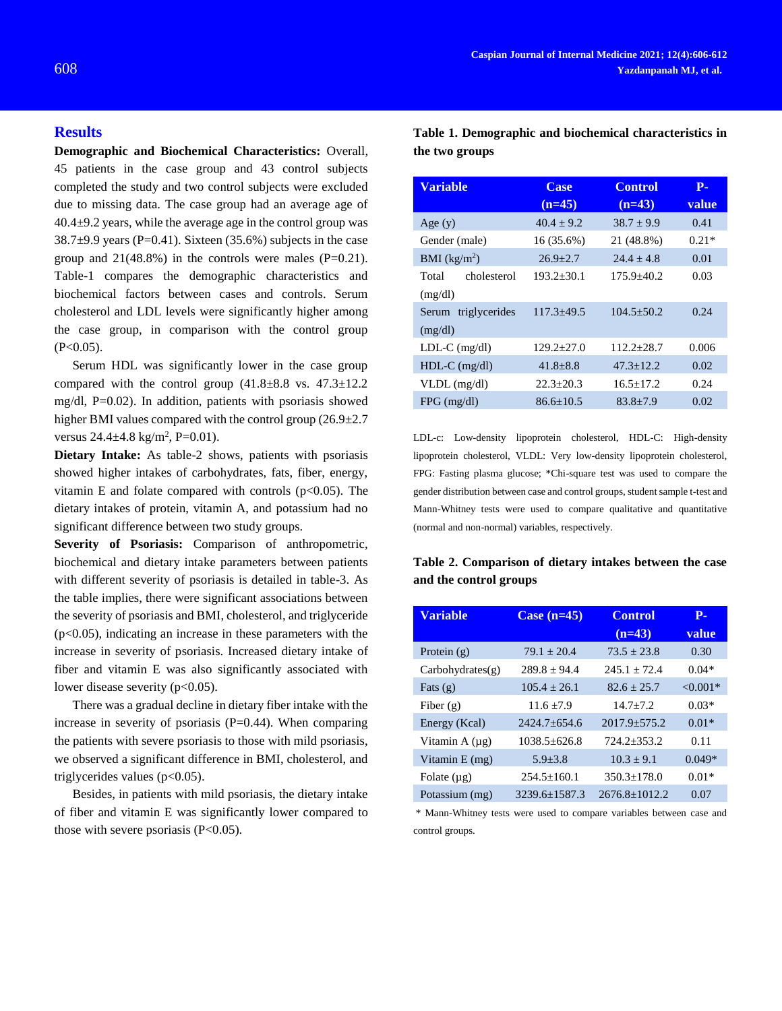#### **Results**

**Demographic and Biochemical Characteristics:** Overall, 45 patients in the case group and 43 control subjects completed the study and two control subjects were excluded due to missing data. The case group had an average age of  $40.4\pm9.2$  years, while the average age in the control group was  $38.7\pm9.9$  years (P=0.41). Sixteen (35.6%) subjects in the case group and  $21(48.8\%)$  in the controls were males (P=0.21). Table-1 compares the demographic characteristics and biochemical factors between cases and controls. Serum cholesterol and LDL levels were significantly higher among the case group, in comparison with the control group  $(P<0.05)$ .

Serum HDL was significantly lower in the case group compared with the control group  $(41.8\pm8.8 \text{ vs. } 47.3\pm12.2$ mg/dl, P=0.02). In addition, patients with psoriasis showed higher BMI values compared with the control group (26.9 $\pm$ 2.7 versus  $24.4 \pm 4.8$  kg/m<sup>2</sup>, P=0.01).

**Dietary Intake:** As table-2 shows, patients with psoriasis showed higher intakes of carbohydrates, fats, fiber, energy, vitamin E and folate compared with controls  $(p<0.05)$ . The dietary intakes of protein, vitamin A, and potassium had no significant difference between two study groups.

**Severity of Psoriasis:** Comparison of anthropometric, biochemical and dietary intake parameters between patients with different severity of psoriasis is detailed in table-3. As the table implies, there were significant associations between the severity of psoriasis and BMI, cholesterol, and triglyceride (p<0.05), indicating an increase in these parameters with the increase in severity of psoriasis. Increased dietary intake of fiber and vitamin E was also significantly associated with lower disease severity (p<0.05).

There was a gradual decline in dietary fiber intake with the increase in severity of psoriasis  $(P=0.44)$ . When comparing the patients with severe psoriasis to those with mild psoriasis, we observed a significant difference in BMI, cholesterol, and triglycerides values (p<0.05).

Besides, in patients with mild psoriasis, the dietary intake of fiber and vitamin E was significantly lower compared to those with severe psoriasis  $(P<0.05)$ .

| <b>Variable</b>      | <b>Case</b><br>$(n=45)$ | <b>Control</b><br>$(n=43)$ | $P-$<br><b>value</b> |  |
|----------------------|-------------------------|----------------------------|----------------------|--|
| Age(y)               | $40.4 + 9.2$            | $38.7 \pm 9.9$             | 0.41                 |  |
| Gender (male)        | 16 (35.6%)              | 21 (48.8%)                 | $0.21*$              |  |
| BMI $(kg/m2)$        | $26.9 \pm 2.7$          | $24.4 + 4.8$               | 0.01                 |  |
| cholesterol<br>Total | $193.2 \pm 30.1$        | $175.9 \pm 40.2$           | 0.03                 |  |
| (mg/dl)              |                         |                            |                      |  |
| Serum triglycerides  | $117.3 + 49.5$          | $104.5 + 50.2$             | 0.24                 |  |
| (mg/dl)              |                         |                            |                      |  |
| $LDL-C$ (mg/dl)      | $129.2 \pm 27.0$        | $112.2 + 28.7$             | 0.006                |  |
| $HDL-C$ (mg/dl)      | $41.8 \pm 8.8$          | $47.3 \pm 12.2$            | 0.02                 |  |
| $VLDL$ (mg/dl)       | $22.3 \pm 20.3$         | $16.5 + 17.2$              | 0.24                 |  |
| $FPG$ (mg/dl)        | $86.6 + 10.5$           | $83.8 + 7.9$               | 0.02                 |  |

LDL-c: Low-density lipoprotein cholesterol, HDL-C: High-density lipoprotein cholesterol, VLDL: Very low-density lipoprotein cholesterol, FPG: Fasting plasma glucose; \*Chi-square test was used to compare the gender distribution between case and control groups, student sample t-test and Mann-Whitney tests were used to compare qualitative and quantitative (normal and non-normal) variables, respectively.

## **Table 2. Comparison of dietary intakes between the case and the control groups**

| <b>Variable</b>        | Case $(n=45)$     | <b>Control</b><br>$(n=43)$ | $P-$<br>value |
|------------------------|-------------------|----------------------------|---------------|
| Protein $(g)$          | $79.1 \pm 20.4$   | $73.5 + 23.8$              | 0.30          |
| $Carbo$ hydrates $(g)$ | $289.8 + 94.4$    | $245.1 + 72.4$             | $0.04*$       |
| Fats $(g)$             | $105.4 + 26.1$    | $82.6 + 25.7$              | $< 0.001*$    |
| Fiber $(g)$            | $11.6 + 7.9$      | $14.7 + 7.2$               | $0.03*$       |
| Energy (Kcal)          | $2424.7 + 654.6$  | $2017.9 \pm 575.2$         | $0.01*$       |
| Vitamin $A(\mu g)$     | $1038.5 + 626.8$  | $724.2 + 353.2$            | 0.11          |
| Vitamin E (mg)         | $5.9 + 3.8$       | $10.3 \pm 9.1$             | $0.049*$      |
| Folate $(\mu g)$       | $254.5 \pm 160.1$ | $350.3 + 178.0$            | $0.01*$       |
| Potassium (mg)         | $3239.6 + 1587.3$ | $2676.8+1012.2$            | 0.07          |

\* Mann-Whitney tests were used to compare variables between case and control groups.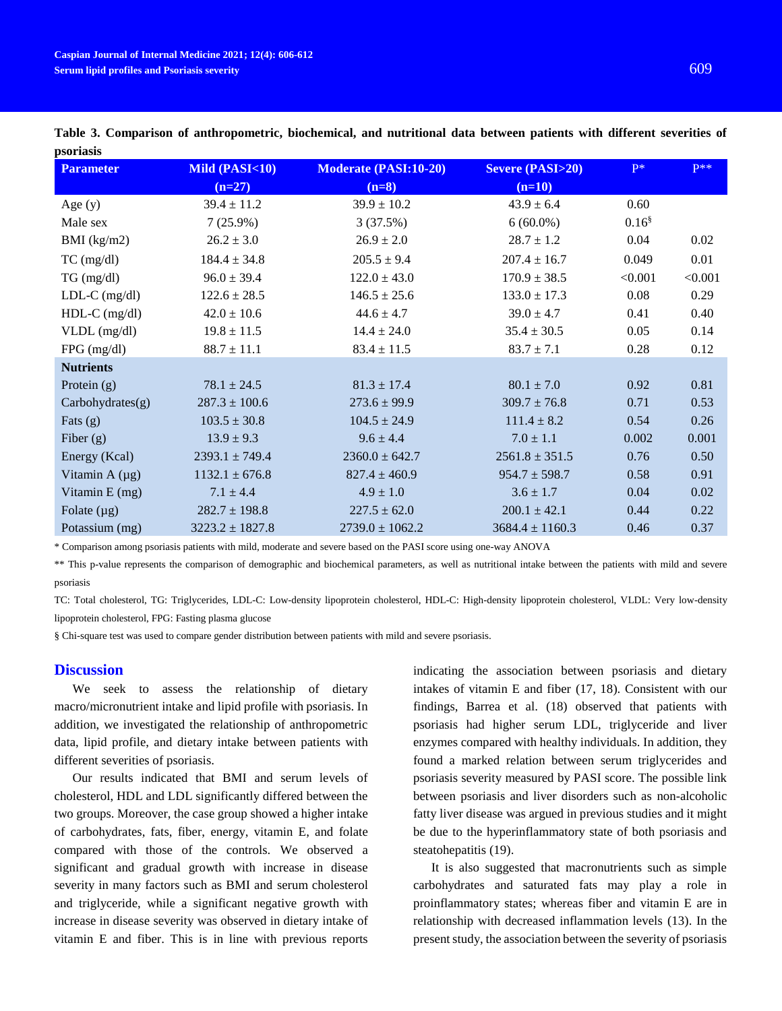| <b>Parameter</b>    | Mild (PASI<10)      | <b>Moderate (PASI:10-20)</b> | <b>Severe (PASI&gt;20)</b> | $P^*$             | $P**$   |
|---------------------|---------------------|------------------------------|----------------------------|-------------------|---------|
|                     | $(n=27)$            | $(n=8)$                      | $(n=10)$                   |                   |         |
| Age $(y)$           | $39.4 \pm 11.2$     | $39.9 \pm 10.2$              | $43.9 \pm 6.4$             | 0.60              |         |
| Male sex            | $7(25.9\%)$         | 3(37.5%)                     | $6(60.0\%)$                | 0.16 <sup>§</sup> |         |
| BMI $(kg/m2)$       | $26.2 \pm 3.0$      | $26.9 \pm 2.0$               | $28.7 \pm 1.2$             | 0.04              | 0.02    |
| $TC$ (mg/dl)        | $184.4 \pm 34.8$    | $205.5 \pm 9.4$              | $207.4 \pm 16.7$           | 0.049             | 0.01    |
| TG (mg/dl)          | $96.0 \pm 39.4$     | $122.0 \pm 43.0$             | $170.9 \pm 38.5$           | < 0.001           | < 0.001 |
| $LDL-C$ (mg/dl)     | $122.6 \pm 28.5$    | $146.5 \pm 25.6$             | $133.0 \pm 17.3$           | 0.08              | 0.29    |
| $HDL-C$ (mg/dl)     | $42.0 \pm 10.6$     | $44.6 \pm 4.7$               | $39.0 \pm 4.7$             | 0.41              | 0.40    |
| $VLDL$ (mg/dl)      | $19.8 \pm 11.5$     | $14.4 \pm 24.0$              | $35.4 \pm 30.5$            | 0.05              | 0.14    |
| $FPG$ (mg/dl)       | $88.7 \pm 11.1$     | $83.4 \pm 11.5$              | $83.7 \pm 7.1$             | 0.28              | 0.12    |
| <b>Nutrients</b>    |                     |                              |                            |                   |         |
| Protein $(g)$       | $78.1 \pm 24.5$     | $81.3 \pm 17.4$              | $80.1 \pm 7.0$             | 0.92              | 0.81    |
| Carbohydroates(g)   | $287.3 \pm 100.6$   | $273.6 \pm 99.9$             | $309.7 \pm 76.8$           | 0.71              | 0.53    |
| Fats $(g)$          | $103.5 \pm 30.8$    | $104.5 \pm 24.9$             | $111.4 \pm 8.2$            | 0.54              | 0.26    |
| Fiber $(g)$         | $13.9 \pm 9.3$      | $9.6 \pm 4.4$                | $7.0 \pm 1.1$              | 0.002             | 0.001   |
| Energy (Kcal)       | $2393.1 \pm 749.4$  | $2360.0 \pm 642.7$           | $2561.8 \pm 351.5$         | 0.76              | 0.50    |
| Vitamin A $(\mu g)$ | $1132.1 \pm 676.8$  | $827.4 \pm 460.9$            | $954.7 \pm 598.7$          | 0.58              | 0.91    |
| Vitamin $E$ (mg)    | $7.1 \pm 4.4$       | $4.9 \pm 1.0$                | $3.6 \pm 1.7$              | 0.04              | 0.02    |
| Folate $(\mu g)$    | $282.7 \pm 198.8$   | $227.5 \pm 62.0$             | $200.1 \pm 42.1$           | 0.44              | 0.22    |
| Potassium (mg)      | $3223.2 \pm 1827.8$ | $2739.0 \pm 1062.2$          | $3684.4 \pm 1160.3$        | 0.46              | 0.37    |

**Table 3. Comparison of anthropometric, biochemical, and nutritional data between patients with different severities of psoriasis**

\* Comparison among psoriasis patients with mild, moderate and severe based on the PASI score using one-way ANOVA

\*\* This p-value represents the comparison of demographic and biochemical parameters, as well as nutritional intake between the patients with mild and severe psoriasis

TC: Total cholesterol, TG: Triglycerides, LDL-C: Low-density lipoprotein cholesterol, HDL-C: High-density lipoprotein cholesterol, VLDL: Very low-density lipoprotein cholesterol, FPG: Fasting plasma glucose

§ Chi-square test was used to compare gender distribution between patients with mild and severe psoriasis.

#### **Discussion**

We seek to assess the relationship of dietary macro/micronutrient intake and lipid profile with psoriasis. In addition, we investigated the relationship of anthropometric data, lipid profile, and dietary intake between patients with different severities of psoriasis.

Our results indicated that BMI and serum levels of cholesterol, HDL and LDL significantly differed between the two groups. Moreover, the case group showed a higher intake of carbohydrates, fats, fiber, energy, vitamin E, and folate compared with those of the controls. We observed a significant and gradual growth with increase in disease severity in many factors such as BMI and serum cholesterol and triglyceride, while a significant negative growth with increase in disease severity was observed in dietary intake of vitamin E and fiber. This is in line with previous reports indicating the association between psoriasis and dietary intakes of vitamin E and fiber [\(17,](#page-5-13) [18\)](#page-5-14). Consistent with our findings, Barrea et al. [\(18\)](#page-5-14) observed that patients with psoriasis had higher serum LDL, triglyceride and liver enzymes compared with healthy individuals. In addition, they found a marked relation between serum triglycerides and psoriasis severity measured by PASI score. The possible link between psoriasis and liver disorders such as non-alcoholic fatty liver disease was argued in previous studies and it might be due to the hyperinflammatory state of both psoriasis and steatohepatitis [\(19\)](#page-5-15).

It is also suggested that macronutrients such as simple carbohydrates and saturated fats may play a role in proinflammatory states; whereas fiber and vitamin E are in relationship with decreased inflammation levels [\(13\)](#page-5-9). In the present study, the association between the severity of psoriasis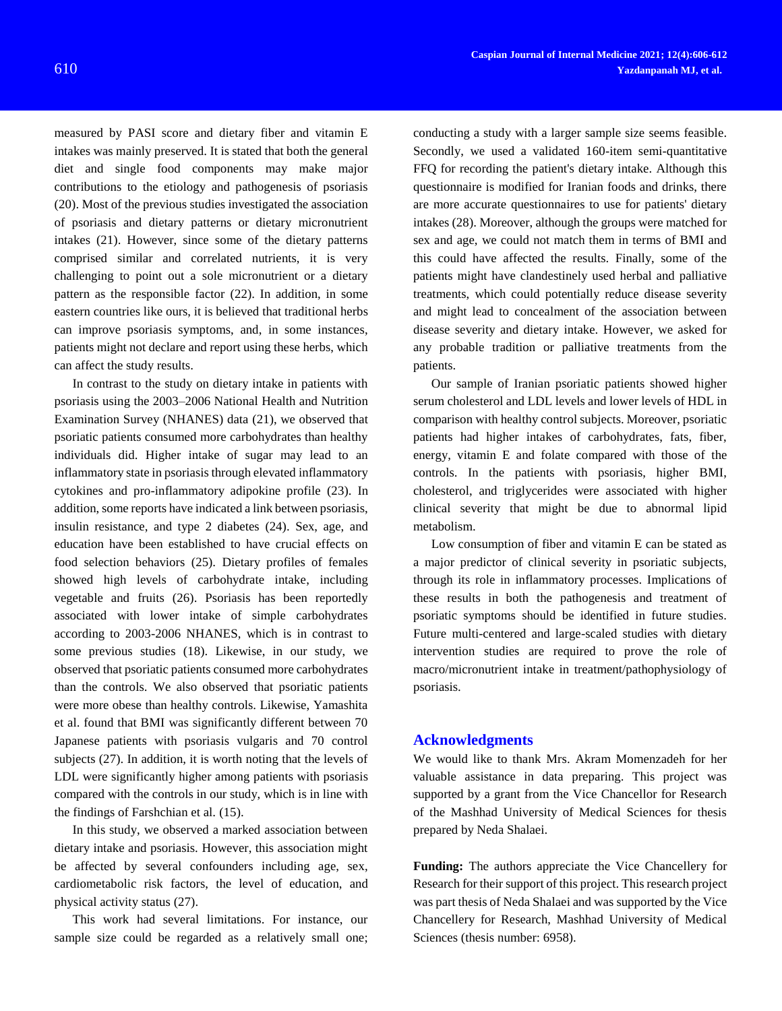measured by PASI score and dietary fiber and vitamin E intakes was mainly preserved. It is stated that both the general diet and single food components may make major contributions to the etiology and pathogenesis of psoriasis [\(20\)](#page-5-16). Most of the previous studies investigated the association of psoriasis and dietary patterns or dietary micronutrient intakes [\(21\)](#page-5-17). However, since some of the dietary patterns comprised similar and correlated nutrients, it is very challenging to point out a sole micronutrient or a dietary pattern as the responsible factor [\(22\)](#page-5-18). In addition, in some eastern countries like ours, it is believed that traditional herbs can improve psoriasis symptoms, and, in some instances, patients might not declare and report using these herbs, which can affect the study results.

In contrast to the study on dietary intake in patients with psoriasis using the 2003–2006 National Health and Nutrition Examination Survey (NHANES) data [\(21\)](#page-5-17), we observed that psoriatic patients consumed more carbohydrates than healthy individuals did. Higher intake of sugar may lead to an inflammatory state in psoriasis through elevated inflammatory cytokines and pro-inflammatory adipokine profile [\(23\)](#page-5-19). In addition, some reports have indicated a link between psoriasis, insulin resistance, and type 2 diabetes [\(24\)](#page-5-20). Sex, age, and education have been established to have crucial effects on food selection behaviors [\(25\)](#page-5-21). Dietary profiles of females showed high levels of carbohydrate intake, including vegetable and fruits [\(26\)](#page-5-22). Psoriasis has been reportedly associated with lower intake of simple carbohydrates according to 2003-2006 NHANES, which is in contrast to some previous studies [\(18\)](#page-5-14). Likewise, in our study, we observed that psoriatic patients consumed more carbohydrates than the controls. We also observed that psoriatic patients were more obese than healthy controls. Likewise, Yamashita et al. found that BMI was significantly different between 70 Japanese patients with psoriasis vulgaris and 70 control subjects [\(27\)](#page-6-0). In addition, it is worth noting that the levels of LDL were significantly higher among patients with psoriasis compared with the controls in our study, which is in line with the findings of Farshchian et al. [\(15\)](#page-5-11).

In this study, we observed a marked association between dietary intake and psoriasis. However, this association might be affected by several confounders including age, sex, cardiometabolic risk factors, the level of education, and physical activity status [\(27\)](#page-6-0).

This work had several limitations. For instance, our sample size could be regarded as a relatively small one;

conducting a study with a larger sample size seems feasible. Secondly, we used a validated 160-item semi-quantitative FFQ for recording the patient's dietary intake. Although this questionnaire is modified for Iranian foods and drinks, there are more accurate questionnaires to use for patients' dietary intakes [\(28\)](#page-6-1). Moreover, although the groups were matched for sex and age, we could not match them in terms of BMI and this could have affected the results. Finally, some of the patients might have clandestinely used herbal and palliative treatments, which could potentially reduce disease severity and might lead to concealment of the association between disease severity and dietary intake. However, we asked for any probable tradition or palliative treatments from the patients.

Our sample of Iranian psoriatic patients showed higher serum cholesterol and LDL levels and lower levels of HDL in comparison with healthy control subjects. Moreover, psoriatic patients had higher intakes of carbohydrates, fats, fiber, energy, vitamin E and folate compared with those of the controls. In the patients with psoriasis, higher BMI, cholesterol, and triglycerides were associated with higher clinical severity that might be due to abnormal lipid metabolism.

Low consumption of fiber and vitamin E can be stated as a major predictor of clinical severity in psoriatic subjects, through its role in inflammatory processes. Implications of these results in both the pathogenesis and treatment of psoriatic symptoms should be identified in future studies. Future multi-centered and large-scaled studies with dietary intervention studies are required to prove the role of macro/micronutrient intake in treatment/pathophysiology of psoriasis.

## **Acknowledgments**

We would like to thank Mrs. Akram Momenzadeh for her valuable assistance in data preparing. This project was supported by a grant from the Vice Chancellor for Research of the Mashhad University of Medical Sciences for thesis prepared by Neda Shalaei.

**Funding:** The authors appreciate the Vice Chancellery for Research for their support of this project. This research project was part thesis of Neda Shalaei and was supported by the Vice Chancellery for Research, Mashhad University of Medical Sciences (thesis number: 6958).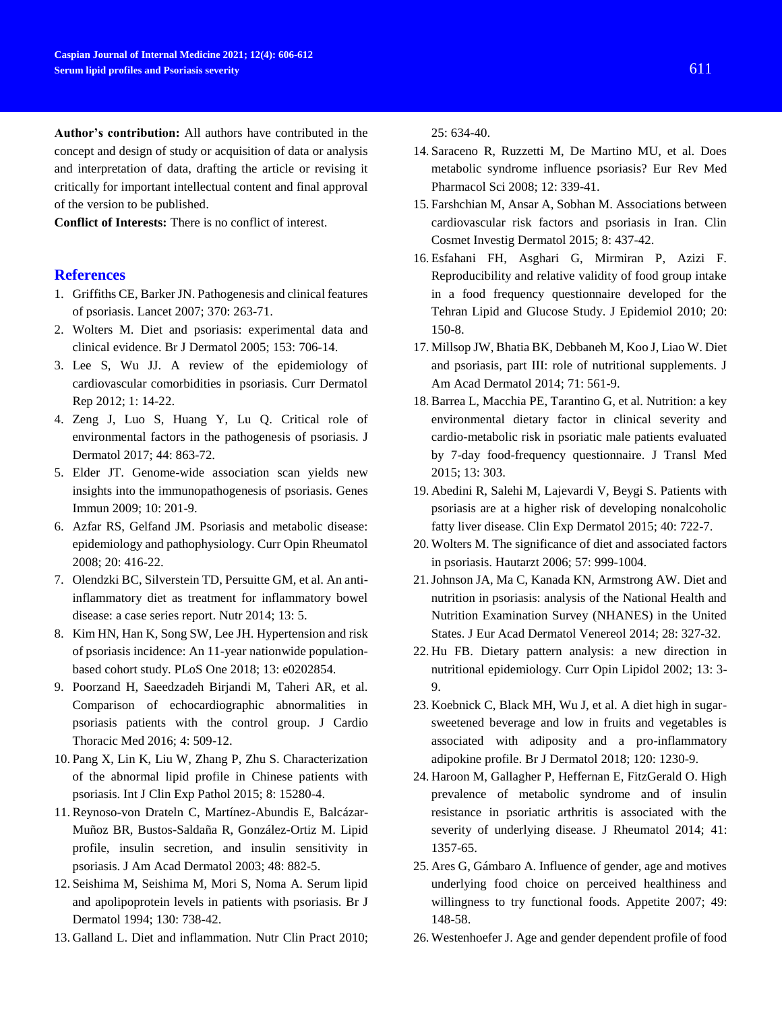**Author's contribution:** All authors have contributed in the concept and design of study or acquisition of data or analysis and interpretation of data, drafting the article or revising it critically for important intellectual content and final approval of the version to be published.

**Conflict of Interests:** There is no conflict of interest.

#### **References**

- <span id="page-5-0"></span>1. Griffiths CE, Barker JN. Pathogenesis and clinical features of psoriasis. Lancet 2007; 370: 263-71.
- <span id="page-5-1"></span>2. Wolters M. Diet and psoriasis: experimental data and clinical evidence. Br J Dermatol 2005; 153: 706-14.
- <span id="page-5-2"></span>3. Lee S, Wu JJ. A review of the epidemiology of cardiovascular comorbidities in psoriasis. Curr Dermatol Rep 2012; 1: 14-22.
- <span id="page-5-3"></span>4. Zeng J, Luo S, Huang Y, Lu Q. Critical role of environmental factors in the pathogenesis of psoriasis. J Dermatol 2017; 44: 863-72.
- <span id="page-5-4"></span>5. Elder JT. Genome-wide association scan yields new insights into the immunopathogenesis of psoriasis. Genes Immun 2009; 10: 201-9.
- <span id="page-5-5"></span>6. Azfar RS, Gelfand JM. Psoriasis and metabolic disease: epidemiology and pathophysiology. Curr Opin Rheumatol 2008; 20: 416-22.
- 7. Olendzki BC, Silverstein TD, Persuitte GM, et al. An antiinflammatory diet as treatment for inflammatory bowel disease: a case series report. Nutr 2014; 13: 5.
- 8. Kim HN, Han K, Song SW, Lee JH. Hypertension and risk of psoriasis incidence: An 11-year nationwide populationbased cohort study. PLoS One 2018; 13: e0202854.
- 9. Poorzand H, Saeedzadeh Birjandi M, Taheri AR, et al. Comparison of echocardiographic abnormalities in psoriasis patients with the control group. J Cardio Thoracic Med 2016; 4: 509-12.
- <span id="page-5-6"></span>10. Pang X, Lin K, Liu W, Zhang P, Zhu S. Characterization of the abnormal lipid profile in Chinese patients with psoriasis. Int J Clin Exp Pathol 2015; 8: 15280-4.
- <span id="page-5-7"></span>11. Reynoso-von Drateln C, Martínez-Abundis E, Balcázar-Muñoz BR, Bustos-Saldaña R, González-Ortiz M. Lipid profile, insulin secretion, and insulin sensitivity in psoriasis. J Am Acad Dermatol 2003; 48: 882-5.
- <span id="page-5-8"></span>12. Seishima M, Seishima M, Mori S, Noma A. Serum lipid and apolipoprotein levels in patients with psoriasis. Br J Dermatol 1994; 130: 738-42.
- <span id="page-5-9"></span>13. Galland L. Diet and inflammation. Nutr Clin Pract 2010;

25: 634-40.

- <span id="page-5-10"></span>14. Saraceno R, Ruzzetti M, De Martino MU, et al. Does metabolic syndrome influence psoriasis? Eur Rev Med Pharmacol Sci 2008; 12: 339-41.
- <span id="page-5-11"></span>15. Farshchian M, Ansar A, Sobhan M. Associations between cardiovascular risk factors and psoriasis in Iran. Clin Cosmet Investig Dermatol 2015; 8: 437-42.
- <span id="page-5-12"></span>16. Esfahani FH, Asghari G, Mirmiran P, Azizi F. Reproducibility and relative validity of food group intake in a food frequency questionnaire developed for the Tehran Lipid and Glucose Study. J Epidemiol 2010; 20: 150-8.
- <span id="page-5-13"></span>17. Millsop JW, Bhatia BK, Debbaneh M, Koo J, Liao W. Diet and psoriasis, part III: role of nutritional supplements. J Am Acad Dermatol 2014; 71: 561-9.
- <span id="page-5-14"></span>18. Barrea L, Macchia PE, Tarantino G, et al. Nutrition: a key environmental dietary factor in clinical severity and cardio-metabolic risk in psoriatic male patients evaluated by 7-day food-frequency questionnaire. J Transl Med 2015; 13: 303.
- <span id="page-5-15"></span>19. Abedini R, Salehi M, Lajevardi V, Beygi S. Patients with psoriasis are at a higher risk of developing nonalcoholic fatty liver disease. Clin Exp Dermatol 2015; 40: 722-7.
- <span id="page-5-16"></span>20. Wolters M. The significance of diet and associated factors in psoriasis. Hautarzt 2006; 57: 999-1004.
- <span id="page-5-17"></span>21.Johnson JA, Ma C, Kanada KN, Armstrong AW. Diet and nutrition in psoriasis: analysis of the National Health and Nutrition Examination Survey (NHANES) in the United States. J Eur Acad Dermatol Venereol 2014; 28: 327-32.
- <span id="page-5-18"></span>22. Hu FB. Dietary pattern analysis: a new direction in nutritional epidemiology. Curr Opin Lipidol 2002; 13: 3- 9.
- <span id="page-5-19"></span>23. Koebnick C, Black MH, Wu J, et al. A diet high in sugarsweetened beverage and low in fruits and vegetables is associated with adiposity and a pro-inflammatory adipokine profile. Br J Dermatol 2018; 120: 1230-9.
- <span id="page-5-20"></span>24. Haroon M, Gallagher P, Heffernan E, FitzGerald O. High prevalence of metabolic syndrome and of insulin resistance in psoriatic arthritis is associated with the severity of underlying disease. J Rheumatol 2014; 41: 1357-65.
- <span id="page-5-21"></span>25. Ares G, Gámbaro A. Influence of gender, age and motives underlying food choice on perceived healthiness and willingness to try functional foods. Appetite 2007; 49: 148-58.
- <span id="page-5-22"></span>26. Westenhoefer J. Age and gender dependent profile of food